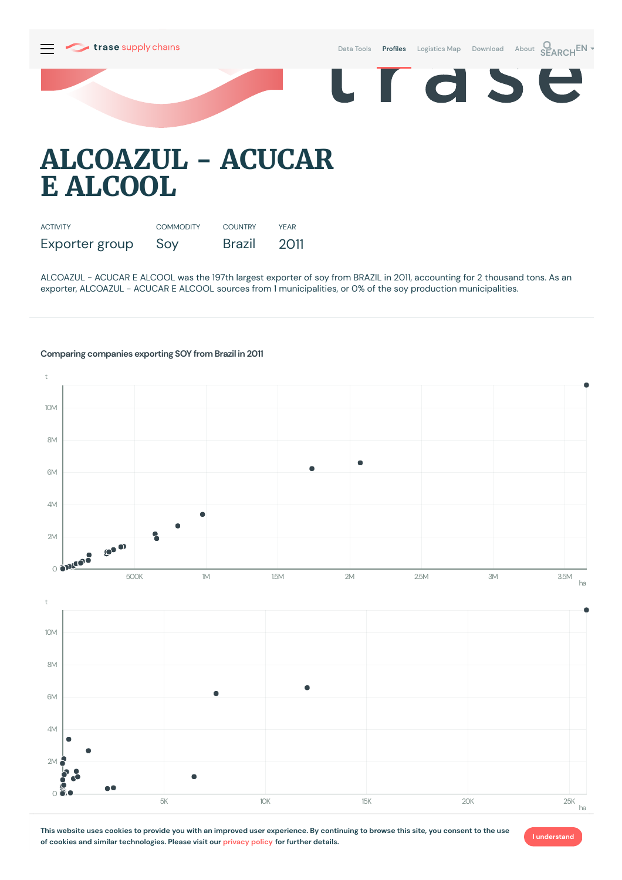

Data [Tools](https://supplychains.trase.earth/explore) **Profiles** [Logistics](https://supplychains.trase.earth/logistics-map) Map [Download](https://supplychains.trase.earth/data) [About](https://supplychains.trase.earth/about) **SEARCH<sup>EN</sup>** 

d S

# **ALCOAZUL - ACUCAR E ALCOOL**

| <b>ACTIVITY</b> | <b>COMMODITY</b> | <b>COUNTRY</b> | <b>YFAR</b> |
|-----------------|------------------|----------------|-------------|
| Exporter group  | Soy              | Brazil         | 2011        |

ALCOAZUL - ACUCAR E ALCOOL was the 197th largest exporter of soy from BRAZIL in 2011, accounting for 2 thousand tons. As an exporter, ALCOAZUL - ACUCAR E ALCOOL sources from 1 municipalities, or 0% of the soy production municipalities.

# **Comparing companies exporting SOY from Brazil in 2011**



This website uses cookies to provide you with an improved user experience. By continuing to browse this site, you consent to the use **of cookies and similar technologies. Please visit our [privacy](https://www.trase.earth/privacy-policy) policy for further details.**